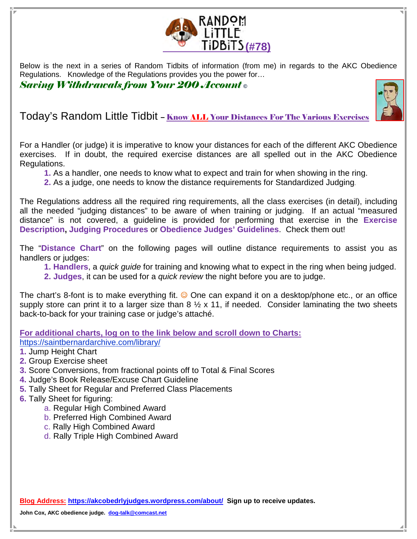

Below is the next in a series of Random Tidbits of information (from me) in regards to the AKC Obedience Regulations. Knowledge of the Regulations provides you the power for…

Saving Withdrawals from Your 200 Account **©** 



Today's Random Little Tidbit – Know ALL Your Distances For The Various Exercises

For a Handler (or judge) it is imperative to know your distances for each of the different AKC Obedience exercises. If in doubt, the required exercise distances are all spelled out in the AKC Obedience Regulations.

- **1.** As a handler, one needs to know what to expect and train for when showing in the ring.
- **2.** As a judge, one needs to know the distance requirements for Standardized Judging.

The Regulations address all the required ring requirements, all the class exercises (in detail), including all the needed "judging distances" to be aware of when training or judging. If an actual "measured distance" is not covered, a guideline is provided for performing that exercise in the **Exercise Description, Judging Procedures** or **Obedience Judges' Guidelines**. Check them out!

The "**Distance Chart**" on the following pages will outline distance requirements to assist you as handlers or judges:

**1. Handlers**, a quick guide for training and knowing what to expect in the ring when being judged. **2. Judges**, it can be used for a quick review the night before you are to judge.

The chart's 8-font is to make everything fit.  $\odot$  One can expand it on a desktop/phone etc., or an office supply store can print it to a larger size than  $8\frac{1}{2} \times 11$ , if needed. Consider laminating the two sheets back-to-back for your training case or judge's attaché.

**For additional charts, log on to the link below and scroll down to Charts:**  https://saintbernardarchive.com/library/

- **1.** Jump Height Chart
- **2.** Group Exercise sheet
- **3.** Score Conversions, from fractional points off to Total & Final Scores
- **4.** Judge's Book Release/Excuse Chart Guideline
- **5.** Tally Sheet for Regular and Preferred Class Placements
- **6.** Tally Sheet for figuring:
	- a. Regular High Combined Award
	- b. Preferred High Combined Award
	- c. Rally High Combined Award
	- d. Rally Triple High Combined Award

**Blog Address: https://akcobedrlyjudges.wordpress.com/about/ Sign up to receive updates.** 

**John Cox, AKC obedience judge. dog-talk@comcast.net**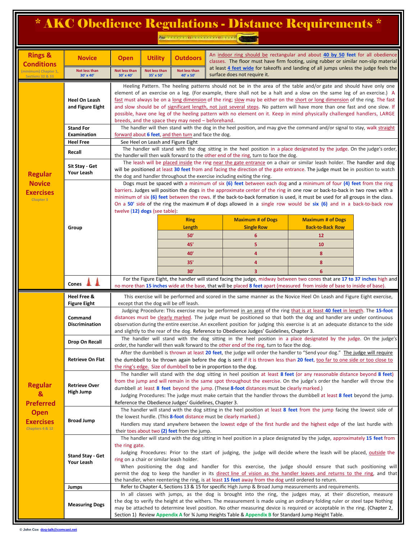|                                                                                               |                                                            |                                                                                                                                                                                                                                                                                                                                                                                                                                                                                                                                                                                                                                                                                           |                            | AND I LA FITTING CONSTRUCTIONS CONST                                                                                                                                                                                                                     |  |                              | * AKC Obedience Regulations - Distance Requirements *                                                                                                                  |  |  |
|-----------------------------------------------------------------------------------------------|------------------------------------------------------------|-------------------------------------------------------------------------------------------------------------------------------------------------------------------------------------------------------------------------------------------------------------------------------------------------------------------------------------------------------------------------------------------------------------------------------------------------------------------------------------------------------------------------------------------------------------------------------------------------------------------------------------------------------------------------------------------|----------------------------|----------------------------------------------------------------------------------------------------------------------------------------------------------------------------------------------------------------------------------------------------------|--|------------------------------|------------------------------------------------------------------------------------------------------------------------------------------------------------------------|--|--|
| <b>Rings &amp;</b><br><b>Conditions</b>                                                       | <b>Novice</b>                                              | <b>Open</b>                                                                                                                                                                                                                                                                                                                                                                                                                                                                                                                                                                                                                                                                               | <b>Utility</b>             | <b>Outdoors</b>                                                                                                                                                                                                                                          |  |                              | An indoor ring should be rectangular and about 40 by 50 feet for all obedience<br>classes. The floor must have firm footing, using rubber or similar non-slip material |  |  |
| (minimum) Chapter 1,<br><b>Sections 32 &amp; 33</b>                                           | Not less than<br>30' x 40'                                 | Not less than<br>30' x 40'                                                                                                                                                                                                                                                                                                                                                                                                                                                                                                                                                                                                                                                                | Not less than<br>35' x 50' | Not less than<br>40' x 50'                                                                                                                                                                                                                               |  | surface does not require it. | at least 4 feet wide for takeoffs and landing of all jumps unless the judge feels the                                                                                  |  |  |
|                                                                                               | Heel On Leash<br>and Figure Eight                          | Heeling Pattern. The heeling patterns should not be in the area of the table and/or gate and should have only one<br>element of an exercise on a leg. (For example, there shall not be a halt and a slow on the same leg of an exercise.) A<br>fast must always be on a long dimension of the ring; slow may be either on the short or long dimension of the ring. The fast<br>and slow should be of significant length, not just several steps. No pattern will have more than one fast and one slow. If<br>possible, have one leg of the heeling pattern with no element on it. Keep in mind physically challenged handlers, LARGE<br>breeds, and the space they may need - beforehand. |                            |                                                                                                                                                                                                                                                          |  |                              |                                                                                                                                                                        |  |  |
|                                                                                               | <b>Stand For</b><br><b>Examination</b><br><b>Heel Free</b> | The handler will then stand with the dog in the heel position, and may give the command and/or signal to stay, walk straight<br>forward about 6 feet, and then turn and face the dog.<br>See Heel on Leash and Figure Eight                                                                                                                                                                                                                                                                                                                                                                                                                                                               |                            |                                                                                                                                                                                                                                                          |  |                              |                                                                                                                                                                        |  |  |
|                                                                                               | Recall                                                     | The handler will stand with the dog sitting in the heel position in a place designated by the judge. On the judge's order,                                                                                                                                                                                                                                                                                                                                                                                                                                                                                                                                                                |                            |                                                                                                                                                                                                                                                          |  |                              |                                                                                                                                                                        |  |  |
| <b>Regular</b><br><b>Novice</b><br><b>Exercises</b><br><b>Chapter 3</b>                       | Sit Stay - Get<br><b>Your Leash</b>                        | the handler will then walk forward to the other end of the ring, turn to face the dog.<br>The leash will be placed inside the ring near the gate entrance on a chair or similar leash holder. The handler and dog<br>will be positioned at least 30 feet from and facing the direction of the gate entrance. The judge must be in position to watch<br>the dog and handler throughout the exercise including exiting the ring.                                                                                                                                                                                                                                                            |                            |                                                                                                                                                                                                                                                          |  |                              |                                                                                                                                                                        |  |  |
|                                                                                               |                                                            | Dogs must be spaced with a minimum of six (6) feet between each dog and a minimum of four (4) feet from the ring<br>barriers. Judges will position the dogs in the approximate center of the ring in one row or back-to-back in two rows with a<br>minimum of six (6) feet between the rows. If the back-to-back formation is used, it must be used for all groups in the class.<br>On a 50' side of the ring the maximum # of dogs allowed in a single row would be six (6) and in a back-to-back row<br>twelve $(12)$ dogs (see table):                                                                                                                                                 |                            |                                                                                                                                                                                                                                                          |  |                              |                                                                                                                                                                        |  |  |
|                                                                                               |                                                            |                                                                                                                                                                                                                                                                                                                                                                                                                                                                                                                                                                                                                                                                                           |                            | <b>Ring</b>                                                                                                                                                                                                                                              |  | <b>Maximum # of Dogs</b>     | <b>Maximum # of Dogs</b>                                                                                                                                               |  |  |
|                                                                                               | Group                                                      |                                                                                                                                                                                                                                                                                                                                                                                                                                                                                                                                                                                                                                                                                           |                            | Length<br>50'                                                                                                                                                                                                                                            |  | <b>Single Row</b><br>6       | <b>Back-to-Back Row</b><br>12                                                                                                                                          |  |  |
|                                                                                               |                                                            |                                                                                                                                                                                                                                                                                                                                                                                                                                                                                                                                                                                                                                                                                           |                            | 45'                                                                                                                                                                                                                                                      |  | 5                            | 10                                                                                                                                                                     |  |  |
|                                                                                               |                                                            |                                                                                                                                                                                                                                                                                                                                                                                                                                                                                                                                                                                                                                                                                           |                            | 40'                                                                                                                                                                                                                                                      |  | 4                            | 8                                                                                                                                                                      |  |  |
|                                                                                               |                                                            |                                                                                                                                                                                                                                                                                                                                                                                                                                                                                                                                                                                                                                                                                           |                            | 35'                                                                                                                                                                                                                                                      |  | 4                            | 8                                                                                                                                                                      |  |  |
|                                                                                               |                                                            |                                                                                                                                                                                                                                                                                                                                                                                                                                                                                                                                                                                                                                                                                           |                            | 30'                                                                                                                                                                                                                                                      |  | $\overline{\mathbf{3}}$      | 6                                                                                                                                                                      |  |  |
|                                                                                               | Cones                                                      |                                                                                                                                                                                                                                                                                                                                                                                                                                                                                                                                                                                                                                                                                           |                            | For the Figure Eight, the handler will stand facing the judge, midway between two cones that are 17 to 37 inches high and<br>no more than 15 inches wide at the base, that will be placed 8 feet apart (measured from inside of base to inside of base). |  |                              |                                                                                                                                                                        |  |  |
|                                                                                               | Heel Free &                                                |                                                                                                                                                                                                                                                                                                                                                                                                                                                                                                                                                                                                                                                                                           |                            |                                                                                                                                                                                                                                                          |  |                              | This exercise will be performed and scored in the same manner as the Novice Heel On Leash and Figure Eight exercise,                                                   |  |  |
|                                                                                               | <b>Figure Eight</b><br>command<br><b>Discrimination</b>    | except that the dog will be off leash.<br>Judging Procedure: This exercise may be performed in an area of the ring that is at least 40 feet in length. The 15-foot<br>distances must be clearly marked. The judge must be positioned so that both the dog and handler are under continuous<br>observation during the entire exercise. An excellent position for judging this exercise is at an adequate distance to the side<br>and slightly to the rear of the dog. Reference to Obedience Judges' Guidelines, Chapter 3.                                                                                                                                                                |                            |                                                                                                                                                                                                                                                          |  |                              |                                                                                                                                                                        |  |  |
|                                                                                               | Drop On Recall                                             | The handler will stand with the dog sitting in the heel position in a place designated by the judge. On the judge's                                                                                                                                                                                                                                                                                                                                                                                                                                                                                                                                                                       |                            |                                                                                                                                                                                                                                                          |  |                              |                                                                                                                                                                        |  |  |
|                                                                                               | <b>Retrieve On Flat</b>                                    | order, the handler will then walk forward to the other end of the ring, turn to face the dog.<br>After the dumbbell is thrown at least 20 feet, the judge will order the handler to "Send your dog." The judge will require<br>the dumbbell to be thrown again before the dog is sent if it is thrown less than 20 feet, too far to one side or too close to<br>the ring's edge. Size of dumbbell to be in proportion to the dog.                                                                                                                                                                                                                                                         |                            |                                                                                                                                                                                                                                                          |  |                              |                                                                                                                                                                        |  |  |
| <b>Regular</b><br>&<br><b>Preferred</b><br><b>Open</b><br><b>Exercises</b><br>Chapters 4 & 12 | <b>Retrieve Over</b><br>High Jump                          | The handler will stand with the dog sitting in heel position at least 8 feet (or any reasonable distance beyond 8 feet)<br>from the jump and will remain in the same spot throughout the exercise. On the judge's order the handler will throw the<br>dumbbell at least 8 feet beyond the jump. (These 8-foot distances must be clearly marked.)<br>Judging Procedures: The judge must make certain that the handler throws the dumbbell at least 8 feet beyond the jump.<br>Reference the Obedience Judges' Guidelines, Chapter 3.                                                                                                                                                       |                            |                                                                                                                                                                                                                                                          |  |                              |                                                                                                                                                                        |  |  |
|                                                                                               | <b>Broad Jump</b>                                          | The handler will stand with the dog sitting in the heel position at least 8 feet from the jump facing the lowest side of<br>the lowest hurdle. (This 8-foot distance must be clearly marked.)<br>Handlers may stand anywhere between the lowest edge of the first hurdle and the highest edge of the last hurdle with<br>their toes about two (2) feet from the jump.                                                                                                                                                                                                                                                                                                                     |                            |                                                                                                                                                                                                                                                          |  |                              |                                                                                                                                                                        |  |  |
|                                                                                               | <b>Stand Stay - Get</b><br>Your Leash                      | The handler will stand with the dog sitting in heel position in a place designated by the judge, approximately 15 feet from<br>the ring gate.<br>Judging Procedures: Prior to the start of judging, the judge will decide where the leash will be placed, outside the<br>ring on a chair or similar leash holder.<br>When positioning the dog and handler for this exercise, the judge should ensure that such positioning will<br>permit the dog to keep the handler in its direct line of vision as the handler leaves and returns to the ring, and that<br>the handler, when reentering the ring, is at least 15 feet away from the dog until ordered to return.                       |                            |                                                                                                                                                                                                                                                          |  |                              |                                                                                                                                                                        |  |  |
|                                                                                               | Jumps                                                      | Refer to Chapter 4, Sections 13 & 15 for specific High Jump & Broad Jump measurements and requirements.                                                                                                                                                                                                                                                                                                                                                                                                                                                                                                                                                                                   |                            |                                                                                                                                                                                                                                                          |  |                              |                                                                                                                                                                        |  |  |
|                                                                                               | <b>Measuring Dogs</b>                                      | In all classes with jumps, as the dog is brought into the ring, the judges may, at their discretion, measure<br>the dog to verify the height at the withers. The measurement is made using an ordinary folding ruler or steel tape Nothing<br>may be attached to determine level position. No other measuring device is required or acceptable in the ring. (Chapter 2,<br>Section 1) Review Appendix A for 34 Jump Heights Table & Appendix B for Standard Jump Height Table.                                                                                                                                                                                                            |                            |                                                                                                                                                                                                                                                          |  |                              |                                                                                                                                                                        |  |  |